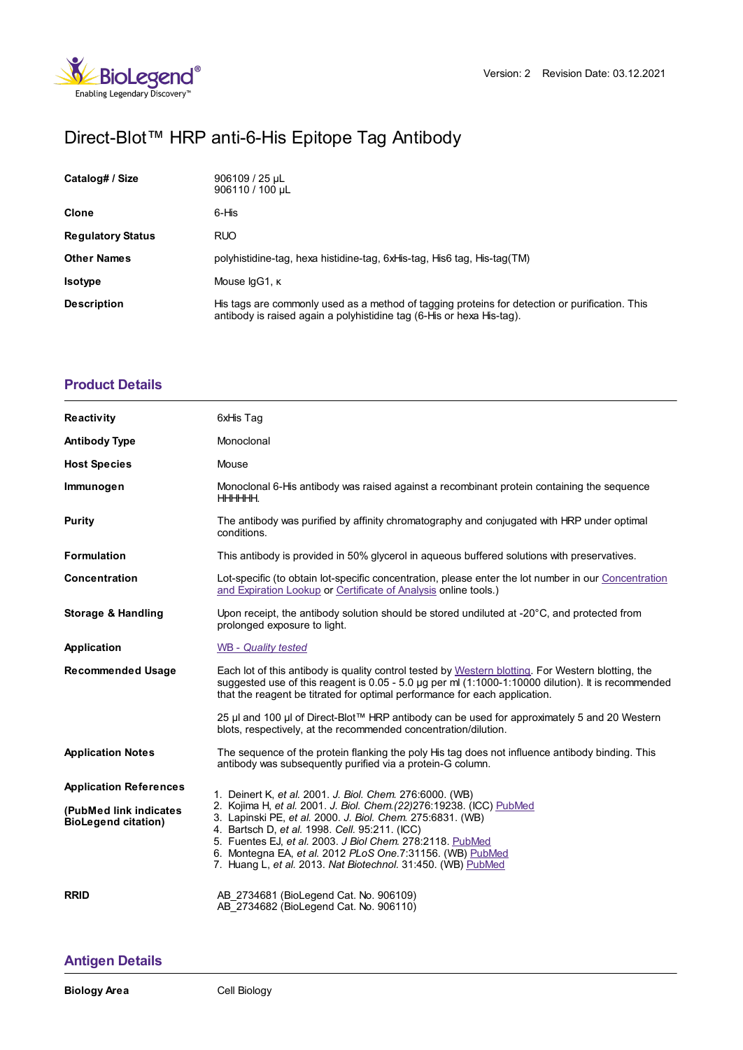

# Direct-Blot™ HRP anti-6-His Epitope Tag Antibody

| Catalog# / Size          | 906109 / 25 µL<br>906110 / 100 uL                                                                                                                                       |
|--------------------------|-------------------------------------------------------------------------------------------------------------------------------------------------------------------------|
| <b>Clone</b>             | 6-His                                                                                                                                                                   |
| <b>Regulatory Status</b> | <b>RUO</b>                                                                                                                                                              |
| <b>Other Names</b>       | polyhistidine-tag, hexa histidine-tag, 6xHis-tag, His6 tag, His-tag(TM)                                                                                                 |
| <b>Isotype</b>           | Mouse IgG1, K                                                                                                                                                           |
| <b>Description</b>       | His tags are commonly used as a method of tagging proteins for detection or purification. This<br>antibody is raised again a polyhistidine tag (6-His or hexa His-tag). |

# **[Product](https://www.biolegend.com/de-at/products/direct-blot-hrp-anti-6-his-epitope-tag-antibody-15863?pdf=true&displayInline=true&leftRightMargin=15&topBottomMargin=15&filename=Direct-Blot%EF%BF%BD%EF%BF%BD%EF%BF%BD HRP anti-6-His Epitope Tag Antibody.pdf#productDetails) Details**

| <b>Reactivity</b>                                    | 6xHis Tag                                                                                                                                                                                                                                                                                                                                                                       |
|------------------------------------------------------|---------------------------------------------------------------------------------------------------------------------------------------------------------------------------------------------------------------------------------------------------------------------------------------------------------------------------------------------------------------------------------|
| <b>Antibody Type</b>                                 | Monoclonal                                                                                                                                                                                                                                                                                                                                                                      |
| <b>Host Species</b>                                  | Mouse                                                                                                                                                                                                                                                                                                                                                                           |
| Immunogen                                            | Monoclonal 6-His antibody was raised against a recombinant protein containing the sequence<br>HHHHHH.                                                                                                                                                                                                                                                                           |
| <b>Purity</b>                                        | The antibody was purified by affinity chromatography and conjugated with HRP under optimal<br>conditions.                                                                                                                                                                                                                                                                       |
| <b>Formulation</b>                                   | This antibody is provided in 50% glycerol in aqueous buffered solutions with preservatives.                                                                                                                                                                                                                                                                                     |
| Concentration                                        | Lot-specific (to obtain lot-specific concentration, please enter the lot number in our Concentration<br>and Expiration Lookup or Certificate of Analysis online tools.)                                                                                                                                                                                                         |
| <b>Storage &amp; Handling</b>                        | Upon receipt, the antibody solution should be stored undiluted at -20°C, and protected from<br>prolonged exposure to light.                                                                                                                                                                                                                                                     |
| Application                                          | <b>WB</b> - Quality tested                                                                                                                                                                                                                                                                                                                                                      |
| <b>Recommended Usage</b>                             | Each lot of this antibody is quality control tested by Western blotting. For Western blotting, the<br>suggested use of this reagent is 0.05 - 5.0 µg per ml (1:1000-1:10000 dilution). It is recommended<br>that the reagent be titrated for optimal performance for each application.                                                                                          |
|                                                      | 25 µl and 100 µl of Direct-Blot™ HRP antibody can be used for approximately 5 and 20 Western<br>blots, respectively, at the recommended concentration/dilution.                                                                                                                                                                                                                 |
| <b>Application Notes</b>                             | The sequence of the protein flanking the poly His tag does not influence antibody binding. This<br>antibody was subsequently purified via a protein-G column.                                                                                                                                                                                                                   |
| <b>Application References</b>                        | 1. Deinert K, et al. 2001. J. Biol. Chem. 276:6000. (WB)                                                                                                                                                                                                                                                                                                                        |
| (PubMed link indicates<br><b>BioLegend citation)</b> | 2. Kojima H, et al. 2001. J. Biol. Chem. (22) 276:19238. (ICC) PubMed<br>3. Lapinski PE, et al. 2000. J. Biol. Chem. 275:6831. (WB)<br>4. Bartsch D, et al. 1998. Cell. 95:211. (ICC)<br>5. Fuentes EJ, et al. 2003. J Biol Chem. 278:2118. PubMed<br>6. Montegna EA, et al. 2012 PLoS One.7:31156. (WB) PubMed<br>7. Huang L, et al. 2013. Nat Biotechnol. 31:450. (WB) PubMed |
| <b>RRID</b>                                          | AB 2734681 (BioLegend Cat. No. 906109)<br>AB 2734682 (BioLegend Cat. No. 906110)                                                                                                                                                                                                                                                                                                |

## **[Antigen](https://www.biolegend.com/de-at/products/direct-blot-hrp-anti-6-his-epitope-tag-antibody-15863?pdf=true&displayInline=true&leftRightMargin=15&topBottomMargin=15&filename=Direct-Blot%EF%BF%BD%EF%BF%BD%EF%BF%BD HRP anti-6-His Epitope Tag Antibody.pdf#antigenDetails) Details**